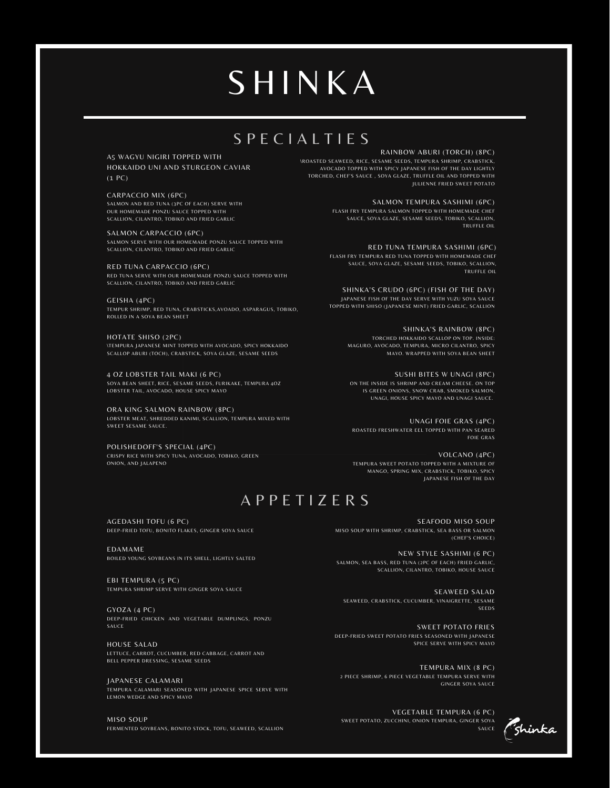## S P E C I A L T I E S

#### RAINBOW ABURI (TORCH) (8PC)

\ROASTED SEAWEED, RICE, SESAME SEEDS, TEMPURA SHRIMP, CRABSTICK, AVOCADO TOPPED WITH SPICY JAPANESE FISH OF THE DAY LIGHTLY TORCHED, CHEF'S SAUCE , SOYA GLAZE, TRUFFLE OIL AND TOPPED WITH JULIENNE FRIED SWEET POTATO

> SALMON TEMPURA SASHIMI (6PC) FLASH FRY TEMPURA SALMON TOPPED WITH HOMEMADE CHEF SAUCE, SOYA GLAZE, SESAME SEEDS, TOBIKO, SCALLION, TRUFFLE OIL

> RED TUNA TEMPURA SASHIMI (6PC) FLASH FRY TEMPURA RED TUNA TOPPED WITH HOMEMADE CHEF SAUCE, SOYA GLAZE, SESAME SEEDS, TOBIKO, SCALLION, TRUFFLE OIL

SHINKA'S CRUDO (6PC) (FISH OF THE DAY) JAPANESE FISH OF THE DAY SERVE WITH YUZU SOYA SAUCE TOPPED WITH SHISO (JAPANESE MINT) FRIED GARLIC, SCALLION

> SHINKA'S RAINBOW (8PC) TORCHED HOKKAIDO SCALLOP ON TOP. INSIDE: MAGURO, AVOCADO, TEMPURA, MICRO CILANTRO, SPICY MAYO. WRAPPED WITH SOYA BEAN SHEET

SUSHI BITES W UNAGI (8PC) ON THE INSIDE IS SHRIMP AND CREAM CHEESE. ON TOP IS GREEN ONIONS, SNOW CRAB, SMOKED SALMON, UNAGI, HOUSE SPICY MAYO AND UNAGI SAUCE.

UNAGI FOIE GRAS (4PC) ROASTED FRESHWATER EEL TOPPED WITH PAN SEARED FOIE GRAS

VOLCANO (4PC) TEMPURA SWEET POTATO TOPPED WITH A MIXTURE OF MANGO, SPRING MIX, CRABSTICK, TOBIKO, SPICY JAPANESE FISH OF THE DAY

A P P E T I Z E R S

SEAFOOD MISO SOUP MISO SOUP WITH SHRIMP, CRABSTICK, SEA BASS OR SALMON (CHEF'S CHOICE)

NEW STYLE SASHIMI (6 PC) SALMON, SEA BASS, RED TUNA (2PC OF EACH) FRIED GARLIC, SCALLION, CILANTRO, TOBIKO, HOUSE SAUCE

SEAWEED SALAD SEAWEED, CRABSTICK, CUCUMBER, VINAIGRETTE, SESAME SEEDS

SWEET POTATO FRIES DEEP-FRIED SWEET POTATO FRIES SEASONED WITH JAPANESE SPICE SERVE WITH SPICY MAYO

TEMPURA MIX (8 PC) 2 PIECE SHRIMP, 6 PIECE VEGETABLE TEMPURA SERVE WITH GINGER SOYA SAUCE

VEGETABLE TEMPURA (6 PC) SWEET POTATO, ZUCCHINI, ONION TEMPURA, GINGER SOYA SAUCE

 $\epsilon$ shinka



CARPACCIO MIX (6PC) SALMON AND RED TUNA (3PC OF EACH) SERVE WITH OUR HOMEMADE PONZU SAUCE TOPPED WITH SCALLION, CILANTRO, TOBIKO AND FRIED GARLIC

A5 WAGYU NIGIRI TOPPED WITH

SALMON CARPACCIO (6PC) SALMON SERVE WITH OUR HOMEMADE PONZU SAUCE TOPPED WITH SCALLION, CILANTRO, TOBIKO AND FRIED GARLIC

RED TUNA CARPACCIO (6PC) RED TUNA SERVE WITH OUR HOMEMADE PONZU SAUCE TOPPED WITH SCALLION, CILANTRO, TOBIKO AND FRIED GARLIC

GEISHA (4PC) TEMPUR SHRIMP, RED TUNA, CRABSTICKS,AVOADO, ASPARAGUS, TOBIKO, ROLLED IN A SOYA BEAN SHEET

HOTATE SHISO (2PC) \TEMPURA JAPANESE MINT TOPPED WITH AVOCADO, SPICY HOKKAIDO SCALLOP ABURI (TOCH), CRABSTICK, SOYA GLAZE, SESAME SEEDS

4 OZ LOBSTER TAIL MAKI (6 PC) SOYA BEAN SHEET, RICE, SESAME SEEDS, FURIKAKE, TEMPURA 4OZ LOBSTER TAIL, AVOCADO, HOUSE SPICY MAYO

ORA KING SALMON RAINBOW (8PC) LOBSTER MEAT, SHREDDED KANIMI, SCALLION, TEMPURA MIXED WITH SWEET SESAME SAUCE.

POLISHEDOFF'S SPECIAL (4PC) CRISPY RICE WITH SPICY TUNA, AVOCADO, TOBIKO, GREEN ONION, AND JALAPENO

AGEDASHI TOFU (6 PC) DEEP-FRIED TOFU, BONITO FLAKES, GINGER SOYA SAUCE

EDAMAME BOILED YOUNG SOYBEANS IN ITS SHELL, LIGHTLY SALTED

EBI TEMPURA (5 PC) TEMPURA SHRIMP SERVE WITH GINGER SOYA SAUCE

GYOZA (4 PC) DEEP-FRIED CHICKEN AND VEGETABLE DUMPLINGS, PONZU SAUCE

HOUSE SALAD LETTUCE, CARROT, CUCUMBER, RED CABBAGE, CARROT AND BELL PEPPER DRESSING, SESAME SEEDS

JAPANESE CALAMARI TEMPURA CALAMARI SEASONED WITH JAPANESE SPICE SERVE WITH LEMON WEDGE AND SPICY MAYO

MISO SOUP FERMENTED SOYBEANS, BONITO STOCK, TOFU, SEAWEED, SCALLION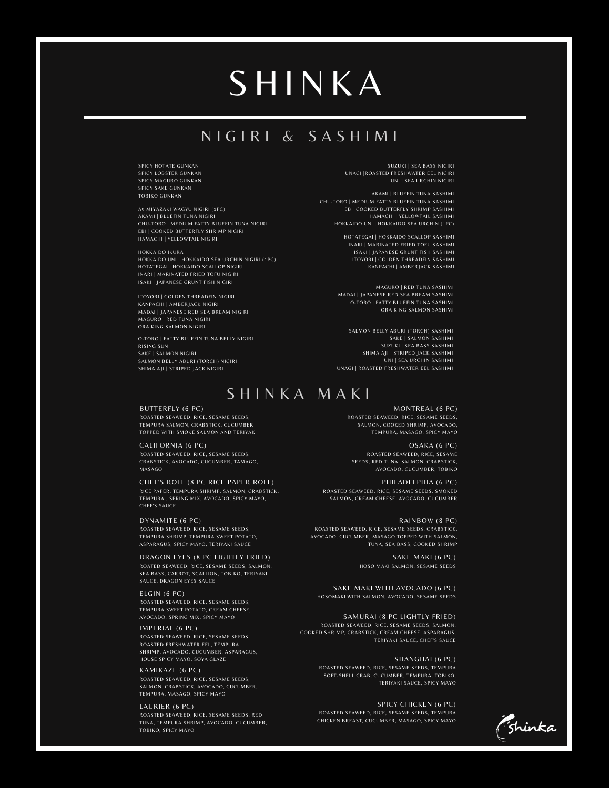## N I G I R I & S A S H I M I

SPICY HOTATE GUNKAN SPICY LOBSTER GUNKAN SPICY MAGURO GUNKAN SPICY SAKE GUNKAN<br>TOBIKO GUNKAN

A5 MIYAZAKI WAGYU NIGIRI (1PC) AKAMI | BLUEFIN TUNA NIGIRI CHU-TORO |MEDIUM FATTY BLUEFIN TUNA NIGIRI EBI | COOKED BUTTERFLY SHRIMP NIGIRI HAMACHI | YELLOWTAIL NIGIRI

HOKKAIDO IKURA HOKKAIDO UNI | HOKKAIDO SEA URCHIN NIGIRI (1PC) HOTATEGAI | HOKKAIDO SCALLOP NIGIRI INARI | MARINATED FRIED TOFU NIGIRI ISAKI | JAPANESE GRUNT FISH NIGIRI

ITOYORI | GOLDEN THREADFIN NIGIRI KANPACHI | AMBERJACK NIGIRI MADAI | JAPANESE RED SEA BREAM NIGIRI MAGURO | RED TUNA NIGIRI ORA KING SALMON NIGIRI

O-TORO |FATTY BLUEFIN TUNA BELLY NIGIRI RISING SUN SAKE |SALMON NIGIRI SALMON BELLY ABURI (TORCH) NIGIRI SHIMA AJI | STRIPED JACK NIGIRI

SUZUKI | SEA BASS NIGIRI UNAGI |ROASTED FRESHWATER EEL NIGIRI UNI | SEA URCHIN NIGIRI

AKAMI | BLUEFIN TUNA SASHIMI CHU-TORO | MEDIUM FATTY BLUEFIN TUNA SASHIMI EBI |COOKED BUTTERFLY SHRIMP SASHIMI HAMACHI | YELLOWTAIL SASHIMI HOKKAIDO UNI | HOKKAIDO SEA URCHIN (1PC)

> HOTATEGAI | HOKKAIDO SCALLOP SASHIMI INARI | MARINATED FRIED TOFU SASHIMI ISAKI | JAPANESE GRUNT FISH SASHIMI ITOYORI | GOLDEN THREADFIN SASHIMI KANPACHI | AMBERJACK SASHIMI

MAGURO | RED TUNA SASHIMI MADAI | JAPANESE RED SEA BREAM SASHIMI O-TORO |FATTY BLUEFIN TUNA SASHIMI ORA KING SALMON SASHIMI

SALMON BELLY ABURI (TORCH) SASHIMI SAKE | SALMON SASHIMI SUZUKI | SEA BASS SASHIMI SHIMA AJI | STRIPED JACK SASHIMI UNI | SEA URCHIN SASHIMI UNAGI | ROASTED FRESHWATER EEL SASHIMI

### SHINKA MAKI

### BUTTERFLY (6 PC)

ROASTED SEAWEED, RICE, SESAME SEEDS, TEMPURA SALMON, CRABSTICK, CUCUMBER TOPPED WITH SMOKE SALMON AND TERIYAKI

CALIFORNIA (6 PC) ROASTED SEAWEED, RICE, SESAME SEEDS, CRABSTICK, AVOCADO, CUCUMBER, TAMAGO, MASAGO

CHEF'S ROLL (8 PC RICE PAPER ROLL) RICE PAPER, TEMPURA SHRIMP, SALMON, CRABSTICK, TEMPURA , SPRING MIX, AVOCADO, SPICY MAYO, CHEF'S SAUCE

#### DYNAMITE (6 PC)

ROASTED SEAWEED, RICE, SESAME SEEDS, TEMPURA SHRIMP, TEMPURA SWEET POTATO, ASPARAGUS, SPICY MAYO, TERIYAKI SAUCE

DRAGON EYES (8 PC LIGHTLY FRIED) ROATED SEAWEED, RICE, SESAME SEEDS, SALMON, SEA BASS, CARROT, SCALLION, TOBIKO, TERIYAKI SAUCE, DRAGON EYES SAUCE

#### ELGIN (6 PC)

ROASTED SEAWEED, RICE, SESAME SEEDS, TEMPURA SWEET POTATO, CREAM CHEESE, AVOCADO, SPRING MIX, SPICY MAYO

#### IMPERIAL (6 PC)

ROASTED SEAWEED, RICE, SESAME SEEDS, ROASTED FRESHWATER EEL, TEMPURA SHRIMP, AVOCADO, CUCUMBER, ASPARAGUS, HOUSE SPICY MAYO, SOYA GLAZE

#### KAMIKAZE (6 PC)

ROASTED SEAWEED, RICE, SESAME SEEDS, SALMON, CRABSTICK, AVOCADO, CUCUMBER, TEMPURA, MASAGO, SPICY MAYO

#### LAURIER (6 PC)

ROASTED SEAWEED, RICE. SESAME SEEDS, RED TUNA, TEMPURA SHRIMP, AVOCADO, CUCUMBER, TOBIKO, SPICY MAYO

MONTREAL (6 PC) ROASTED SEAWEED, RICE, SESAME SEEDS, SALMON, COOKED SHRIMP, AVOCADO, TEMPURA, MASAGO, SPICY MAYO

OSAKA (6 PC) ROASTED SEAWEED, RICE, SESAME SEEDS, RED TUNA, SALMON, CRABSTICK, AVOCADO, CUCUMBER, TOBIKO

PHILADELPHIA (6 PC) ROASTED SEAWEED, RICE, SESAME SEEDS, SMOKED SALMON, CREAM CHEESE, AVOCADO, CUCUMBER

RAINBOW (8 PC) ROASTED SEAWEED, RICE, SESAME SEEDS, CRABSTICK, AVOCADO, CUCUMBER, MASAGO TOPPED WITH SALMON, TUNA, SEA BASS, COOKED SHRIMP

> SAKE MAKI (6 PC) HOSO MAKI SALMON, SESAME SEEDS

SAKE MAKI WITH AVOCADO (6 PC) HOSOMAKI WITH SALMON, AVOCADO, SESAME SEEDS

SAMURAI (8 PC LIGHTLY FRIED) ROASTED SEAWEED, RICE, SESAME SEEDS, SALMON, COOKED SHRIMP, CRABSTICK, CREAM CHEESE, ASPARAGUS, TERIYAKI SAUCE, CHEF'S SAUCE

> SHANGHAI (6 PC) ROASTED SEAWEED, RICE, SESAME SEEDS, TEMPURA SOFT-SHELL CRAB, CUCUMBER, TEMPURA, TOBIKO, TERIYAKI SAUCE, SPICY MAYO

> SPICY CHICKEN (6 PC) ROASTED SEAWEED, RICE, SESAME SEEDS, TEMPURA CHICKEN BREAST, CUCUMBER, MASAGO, SPICY MAYO

zhinka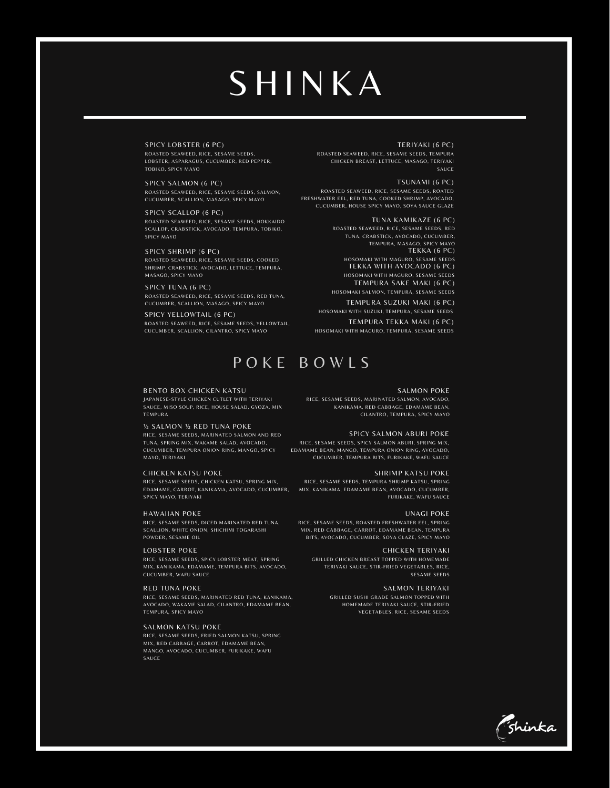#### SPICY LOBSTER (6 PC)

ROASTED SEAWEED, RICE, SESAME SEEDS, LOBSTER, ASPARAGUS, CUCUMBER, RED PEPPER, TOBIKO, SPICY MAYO

SPICY SALMON (6 PC) ROASTED SEAWEED, RICE, SESAME SEEDS, SALMON, CUCUMBER, SCALLION, MASAGO, SPICY MAYO

SPICY SCALLOP (6 PC) ROASTED SEAWEED, RICE, SESAME SEEDS, HOKKAIDO SCALLOP, CRABSTICK, AVOCADO, TEMPURA, TOBIKO, SPICY MAYO

SPICY SHRIMP (6 PC)

ROASTED SEAWEED, RICE, SESAME SEEDS, COOKED SHRIMP, CRABSTICK, AVOCADO, LETTUCE, TEMPURA, MASAGO, SPICY MAYO

SPICY TUNA (6 PC) ROASTED SEAWEED, RICE, SESAME SEEDS, RED TUNA, CUCUMBER, SCALLION, MASAGO, SPICY MAYO

SPICY YELLOWTAIL (6 PC) ROASTED SEAWEED, RICE, SESAME SEEDS, YELLOWTAIL, CUCUMBER, SCALLION, CILANTRO, SPICY MAYO

### P O K E B O W L S

#### BENTO BOX CHICKEN KATSU

JAPANESE-STYLE CHICKEN CUTLET WITH TERIYAKI .<br>SAUCE, MISO SOUP, RICE, HOUSE SALAD, GYOZA, MIX TEMPURA

#### ½ SALMON ½ RED TUNA POKE

RICE, SESAME SEEDS, MARINATED SALMON AND RED TUNA, SPRING MIX, WAKAME SALAD, AVOCADO, CUCUMBER, TEMPURA ONION RING, MANGO, SPICY MAYO, TERIYAKI

#### CHICKEN KATSU POKE

RICE, SESAME SEEDS, CHICKEN KATSU, SPRING MIX, EDAMAME, CARROT, KANIKAMA, AVOCADO, CUCUMBER, SPICY MAYO, TERIYAKI

#### HAWAIIAN POKE

RICE, SESAME SEEDS, DICED MARINATED RED TUNA, SCALLION, WHITE ONION, SHICHIMI TOGARASHI POWDER, SESAME OIL

#### LOBSTER POKE

RICE, SESAME SEEDS, SPICY LOBSTER MEAT, SPRING MIX, KANIKAMA, EDAMAME, TEMPURA BITS, AVOCADO, CUCUMBER, WAFU SAUCE

#### RED TUNA POKE

RICE, SESAME SEEDS, MARINATED RED TUNA, KANIKAMA, AVOCADO, WAKAME SALAD, CILANTRO, EDAMAME BEAN, TEMPURA, SPICY MAYO

#### SALMON KATSU POKE

RICE, SESAME SEEDS, FRIED SALMON KATSU, SPRING MIX, RED CABBAGE, CARROT, EDAMAME BEAN, MANGO, AVOCADO, CUCUMBER, FURIKAKE, WAFU SAUCE

#### TERIYAKI (6 PC)

ROASTED SEAWEED, RICE, SESAME SEEDS, TEMPURA CHICKEN BREAST, LETTUCE, MASAGO, TERIYAKI SAUCE

#### TSUNAMI (6 PC)

ROASTED SEAWEED, RICE, SESAME SEEDS, ROATED FRESHWATER EEL, RED TUNA, COOKED SHRIMP, AVOCADO, CUCUMBER, HOUSE SPICY MAYO, SOYA SAUCE GLAZE

TUNA KAMIKAZE (6 PC)

ROASTED SEAWEED, RICE, SESAME SEEDS, RED TUNA, CRABSTICK, AVOCADO, CUCUMBER, TEMPURA, MASAGO, SPICY MAYO TEKKA (6 PC) HOSOMAKI WITH MAGURO, SESAME SEEDS TEKKA WITH AVOCADO (6 PC)

HOSOMAKI WITH MAGURO, SESAME SEEDS TEMPURA SAKE MAKI (6 PC) HOSOMAKI SALMON, TEMPURA, SESAME SEEDS

TEMPURA SUZUKI MAKI (6 PC) HOSOMAKI WITH SUZUKI, TEMPURA, SESAME SEEDS

TEMPURA TEKKA MAKI (6 PC) HOSOMAKI WITH MAGURO, TEMPURA, SESAME SEEDS

#### SALMON POKE

RICE, SESAME SEEDS, MARINATED SALMON, AVOCADO, KANIKAMA, RED CABBAGE, EDAMAME BEAN, CILANTRO, TEMPURA, SPICY MAYO

#### SPICY SALMON ABURI POKE

RICE, SESAME SEEDS, SPICY SALMON ABURI, SPRING MIX, EDAMAME BEAN, MANGO, TEMPURA ONION RING, AVOCADO, CUCUMBER, TEMPURA BITS, FURIKAKE, WAFU SAUCE

### SHRIMP KATSU POKE

RICE, SESAME SEEDS, TEMPURA SHRIMP KATSU, SPRING MIX, KANIKAMA, EDAMAME BEAN, AVOCADO, CUCUMBER, FURIKAKE, WAFU SAUCE

#### UNAGI POKE

RICE, SESAME SEEDS, ROASTED FRESHWATER EEL, SPRING MIX, RED CABBAGE, CARROT, EDAMAME BEAN, TEMPURA BITS, AVOCADO, CUCUMBER, SOYA GLAZE, SPICY MAYO

CHICKEN TERIYAKI GRILLED CHICKEN BREAST TOPPED WITH HOMEMADE TERIYAKI SAUCE, STIR-FRIED VEGETABLES, RICE, SESAME SEEDS

> SALMON TERIYAKI GRILLED SUSHI GRADE SALMON TOPPED WITH HOMEMADE TERIYAKI SAUCE, STIR-FRIED VEGETABLES, RICE, SESAME SEEDS

zhinka